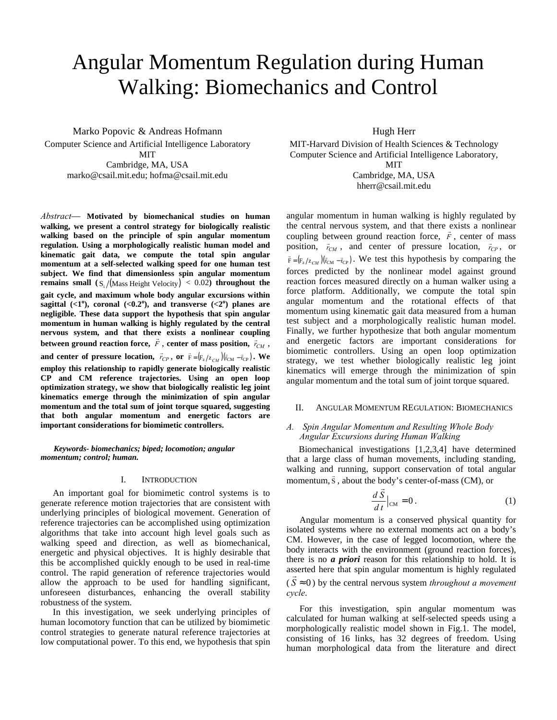# Angular Momentum Regulation during Human Walking: Biomechanics and Control

Marko Popovic & Andreas Hofmann Computer Science and Artificial Intelligence Laboratory MIT

> Cambridge, MA, USA marko@csail.mit.edu; hofma@csail.mit.edu

*Abstract*— **Motivated by biomechanical studies on human walking, we present a control strategy for biologically realistic walking based on the principle of spin angular momentum regulation. Using a morphologically realistic human model and kinematic gait data, we compute the total spin angular momentum at a self-selected walking speed for one human test subject. We find that dimensionless spin angular momentum remains small**  $(S_1 / (Mass Height Velocity) < 0.02)$  **throughout the gait cycle, and maximum whole body angular excursions within**  sagittal  $(**1**<sup>o</sup>)$ , coronal  $(**0.2**<sup>o</sup>)$ , and transverse  $(**2**<sup>o</sup>)$  planes are **negligible. These data support the hypothesis that spin angular momentum in human walking is highly regulated by the central nervous system, and that there exists a nonlinear coupling**  between ground reaction force,  $\vec{F}$ , center of mass position,  $\vec{r}_{CM}$ , **and center of pressure location,**  $\vec{r}_{CP}$ , or  $\vec{F} = (F_z / z_{CM}) (\vec{r}_{CM} - \vec{r}_{CP})$ . We **employ this relationship to rapidly generate biologically realistic CP and CM reference trajectories. Using an open loop optimization strategy, we show that biologically realistic leg joint kinematics emerge through the minimization of spin angular momentum and the total sum of joint torque squared, suggesting that both angular momentum and energetic factors are important considerations for biomimetic controllers.** 

## *Keywords- biomechanics; biped; locomotion; angular momentum; control; human.*

#### I. INTRODUCTION

An important goal for biomimetic control systems is to generate reference motion trajectories that are consistent with underlying principles of biological movement. Generation of reference trajectories can be accomplished using optimization algorithms that take into account high level goals such as walking speed and direction, as well as biomechanical, energetic and physical objectives. It is highly desirable that this be accomplished quickly enough to be used in real-time control. The rapid generation of reference trajectories would allow the approach to be used for handling significant, unforeseen disturbances, enhancing the overall stability robustness of the system.

 In this investigation, we seek underlying principles of human locomotory function that can be utilized by biomimetic control strategies to generate natural reference trajectories at low computational power. To this end, we hypothesis that spin

Hugh Herr

MIT-Harvard Division of Health Sciences & Technology Computer Science and Artificial Intelligence Laboratory,

MIT

Cambridge, MA, USA hherr@csail.mit.edu

angular momentum in human walking is highly regulated by the central nervous system, and that there exists a nonlinear coupling between ground reaction force,  $\vec{F}$ , center of mass position,  $\vec{r}_{CM}$ , and center of pressure location,  $\vec{r}_{CP}$ , or  $\vec{F} = (F_z / z_{CM}) (\vec{r}_{CM} - \vec{r}_{CP})$ . We test this hypothesis by comparing the forces predicted by the nonlinear model against ground reaction forces measured directly on a human walker using a force platform. Additionally, we compute the total spin angular momentum and the rotational effects of that momentum using kinematic gait data measured from a human test subject and a morphologically realistic human model. Finally, we further hypothesize that both angular momentum and energetic factors are important considerations for biomimetic controllers. Using an open loop optimization strategy, we test whether biologically realistic leg joint kinematics will emerge through the minimization of spin angular momentum and the total sum of joint torque squared.

### II. ANGULAR MOMENTUM REGULATION: BIOMECHANICS

## *A. Spin Angular Momentum and Resulting Whole Body Angular Excursions during Human Walking*

Biomechanical investigations [1,2,3,4] have determined that a large class of human movements, including standing, walking and running, support conservation of total angular momentum,  $\vec{s}$ , about the body's center-of-mass (CM), or

$$
\frac{d\vec{S}}{dt}\Big|_{CM} = 0.
$$
 (1)

Angular momentum is a conserved physical quantity for isolated systems where no external moments act on a body's CM. However, in the case of legged locomotion, where the body interacts with the environment (ground reaction forces), there is no *a priori* reason for this relationship to hold. It is asserted here that spin angular momentum is highly regulated  $(S \approx 0)$  by the central nervous system *throughout a movement cycle*.

For this investigation, spin angular momentum was calculated for human walking at self-selected speeds using a morphologically realistic model shown in Fig.1. The model, consisting of 16 links, has 32 degrees of freedom. Using human morphological data from the literature and direct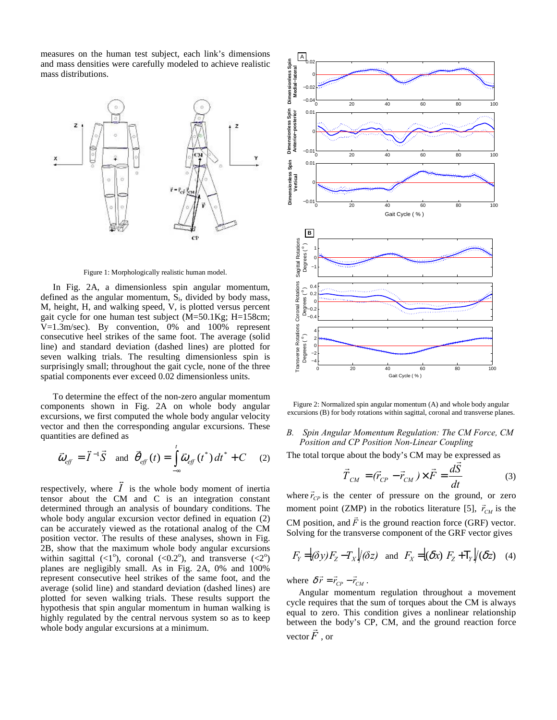measures on the human test subject, each link's dimensions and mass densities were carefully modeled to achieve realistic mass distributions.



Figure 1: Morphologically realistic human model.

In Fig. 2A, a dimensionless spin angular momentum, defined as the angular momentum,  $S_i$ , divided by body mass, M, height, H, and walking speed, V, is plotted versus percent gait cycle for one human test subject (M=50.1Kg; H=158cm; V=1.3m/sec). By convention, 0% and 100% represent consecutive heel strikes of the same foot. The average (solid line) and standard deviation (dashed lines) are plotted for seven walking trials. The resulting dimensionless spin is surprisingly small; throughout the gait cycle, none of the three spatial components ever exceed 0.02 dimensionless units.

To determine the effect of the non-zero angular momentum components shown in Fig. 2A on whole body angular excursions, we first computed the whole body angular velocity vector and then the corresponding angular excursions. These quantities are defined as

$$
\vec{\omega}_{\text{eff}} = \vec{I}^{-1} \vec{S} \quad \text{and} \quad \vec{\theta}_{\text{eff}}(t) = \int_{-\infty}^{t} \vec{\omega}_{\text{eff}}(t^*) dt^* + C \quad (2)
$$

respectively, where  $\vec{I}$  is the whole body moment of inertia tensor about the CM and C is an integration constant determined through an analysis of boundary conditions. The whole body angular excursion vector defined in equation (2) can be accurately viewed as the rotational analog of the CM position vector. The results of these analyses, shown in Fig. 2B, show that the maximum whole body angular excursions within sagittal  $( $1^{\circ}$ ), coronal ( $0.2^{\circ}$ ), and transverse ( $2^{\circ}$ )$ planes are negligibly small. As in Fig. 2A, 0% and 100% represent consecutive heel strikes of the same foot, and the average (solid line) and standard deviation (dashed lines) are plotted for seven walking trials. These results support the hypothesis that spin angular momentum in human walking is highly regulated by the central nervous system so as to keep whole body angular excursions at a minimum.



Figure 2: Normalized spin angular momentum (A) and whole body angular excursions (B) for body rotations within sagittal, coronal and transverse planes.

## *B. Spin Angular Momentum Regulation: The CM Force, CM Position and CP Position Non-Linear Coupling*

The total torque about the body's CM may be expressed as  
\n
$$
\vec{T}_{CM} = (\vec{r}_{CP} - \vec{r}_{CM}) \times \vec{F} = \frac{d\vec{S}}{dt}
$$
\n(3)

where  $\vec{r}_{CP}$  is the center of pressure on the ground, or zero moment point (ZMP) in the robotics literature [5],  $\vec{r}_{CM}$  is the CM position, and  $\vec{F}$  is the ground reaction force (GRF) vector. Solving for the transverse component of the GRF vector gives

$$
F_Y = |(\delta y) F_Z - T_X| / (\delta z)
$$
 and  $F_X = |(\delta x) F_Z + T_Y| / (\delta z)$  (4)

where  $\delta \vec{r} = \vec{r}_{CP} - \vec{r}_{CM}$ .

Angular momentum regulation throughout a movement cycle requires that the sum of torques about the CM is always equal to zero. This condition gives a nonlinear relationship between the body's CP, CM, and the ground reaction force vector  $\vec{F}$ , or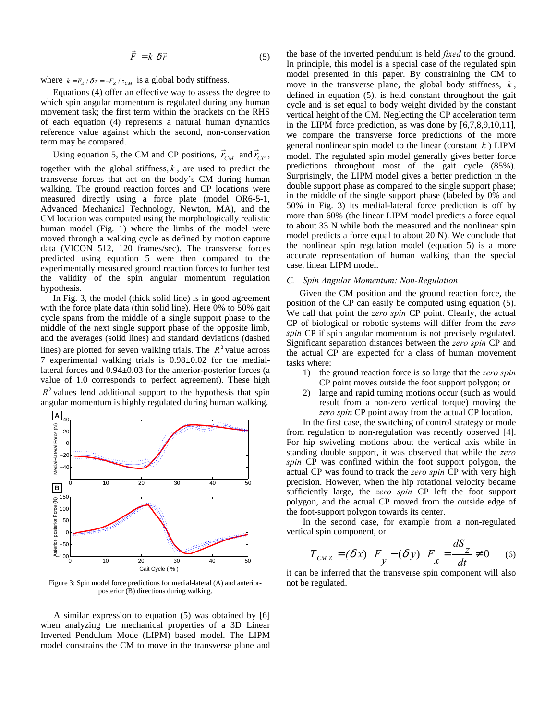$$
\vec{F} = k \delta \vec{r} \tag{5}
$$

where  $k = F_Z / \delta z = -F_Z / z_{CM}$  is a global body stiffness.

Equations (4) offer an effective way to assess the degree to which spin angular momentum is regulated during any human movement task; the first term within the brackets on the RHS of each equation (4) represents a natural human dynamics reference value against which the second, non-conservation term may be compared.

Using equation 5, the CM and CP positions,  $\vec{r}_{CM}$  and  $\vec{r}_{CP}$ ,

together with the global stiffness,  $k$ , are used to predict the transverse forces that act on the body's CM during human walking. The ground reaction forces and CP locations were measured directly using a force plate (model OR6-5-1, Advanced Mechanical Technology, Newton, MA), and the CM location was computed using the morphologically realistic human model (Fig. 1) where the limbs of the model were moved through a walking cycle as defined by motion capture data (VICON 512, 120 frames/sec). The transverse forces predicted using equation 5 were then compared to the experimentally measured ground reaction forces to further test the validity of the spin angular momentum regulation hypothesis.

In Fig. 3, the model (thick solid line) is in good agreement with the force plate data (thin solid line). Here 0% to 50% gait cycle spans from the middle of a single support phase to the middle of the next single support phase of the opposite limb, and the averages (solid lines) and standard deviations (dashed lines) are plotted for seven walking trials. The  $R^2$  value across 7 experimental walking trials is 0.98±0.02 for the mediallateral forces and 0.94±0.03 for the anterior-posterior forces (a value of 1.0 corresponds to perfect agreement). These high  $R<sup>2</sup>$  values lend additional support to the hypothesis that spin angular momentum is highly regulated during human walking.



Figure 3: Spin model force predictions for medial-lateral (A) and anteriorposterior (B) directions during walking.

A similar expression to equation (5) was obtained by [6] when analyzing the mechanical properties of a 3D Linear Inverted Pendulum Mode (LIPM) based model. The LIPM model constrains the CM to move in the transverse plane and the base of the inverted pendulum is held *fixed* to the ground. In principle, this model is a special case of the regulated spin model presented in this paper. By constraining the CM to move in the transverse plane, the global body stiffness,  $k$ , defined in equation (5), is held constant throughout the gait cycle and is set equal to body weight divided by the constant vertical height of the CM. Neglecting the CP acceleration term in the LIPM force prediction, as was done by [6,7,8,9,10,11], we compare the transverse force predictions of the more general nonlinear spin model to the linear (constant *k* ) LIPM model. The regulated spin model generally gives better force predictions throughout most of the gait cycle (85%). Surprisingly, the LIPM model gives a better prediction in the double support phase as compared to the single support phase; in the middle of the single support phase (labeled by 0% and 50% in Fig. 3) its medial-lateral force prediction is off by more than 60% (the linear LIPM model predicts a force equal to about 33 N while both the measured and the nonlinear spin model predicts a force equal to about 20 N). We conclude that the nonlinear spin regulation model (equation 5) is a more accurate representation of human walking than the special case, linear LIPM model.

## *C. Spin Angular Momentum: Non-Regulation*

Given the CM position and the ground reaction force, the position of the CP can easily be computed using equation (5). We call that point the *zero spin* CP point. Clearly, the actual CP of biological or robotic systems will differ from the *zero spin* CP if spin angular momentum is not precisely regulated. Significant separation distances between the *zero spin* CP and the actual CP are expected for a class of human movement tasks where:

- 1) the ground reaction force is so large that the *zero spin* CP point moves outside the foot support polygon; or
- 2) large and rapid turning motions occur (such as would result from a non-zero vertical torque) moving the *zero spin* CP point away from the actual CP location.

In the first case, the switching of control strategy or mode from regulation to non-regulation was recently observed [4]. For hip swiveling motions about the vertical axis while in standing double support, it was observed that while the *zero spin* CP was confined within the foot support polygon, the actual CP was found to track the *zero spin* CP with very high precision. However, when the hip rotational velocity became sufficiently large, the *zero spin* CP left the foot support polygon, and the actual CP moved from the outside edge of the foot-support polygon towards its center.

In the second case, for example from a non-regulated vertical spin component, or

$$
T_{CMZ} = (\delta x) F_y - (\delta y) F_x = \frac{dS_z}{dt} \neq 0
$$
 (6)

it can be inferred that the transverse spin component will also not be regulated.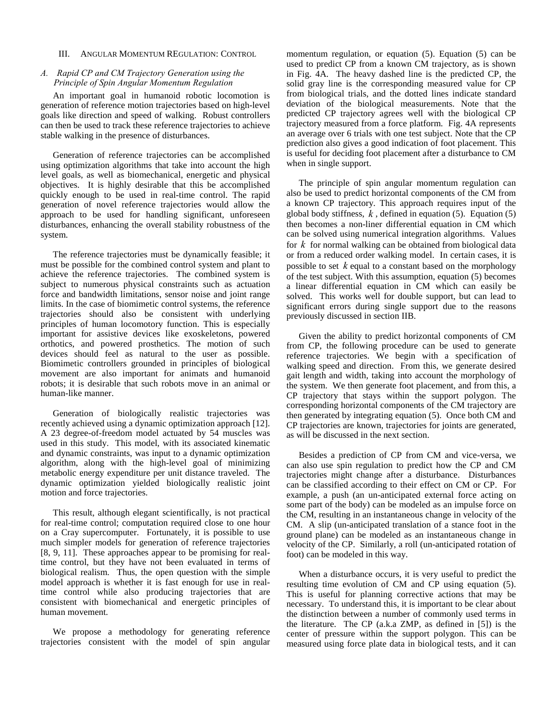#### III. ANGULAR MOMENTUM REGULATION: CONTROL

## *A. Rapid CP and CM Trajectory Generation using the Principle of Spin Angular Momentum Regulation*

An important goal in humanoid robotic locomotion is generation of reference motion trajectories based on high-level goals like direction and speed of walking. Robust controllers can then be used to track these reference trajectories to achieve stable walking in the presence of disturbances.

Generation of reference trajectories can be accomplished using optimization algorithms that take into account the high level goals, as well as biomechanical, energetic and physical objectives. It is highly desirable that this be accomplished quickly enough to be used in real-time control. The rapid generation of novel reference trajectories would allow the approach to be used for handling significant, unforeseen disturbances, enhancing the overall stability robustness of the system.

The reference trajectories must be dynamically feasible; it must be possible for the combined control system and plant to achieve the reference trajectories. The combined system is subject to numerous physical constraints such as actuation force and bandwidth limitations, sensor noise and joint range limits. In the case of biomimetic control systems, the reference trajectories should also be consistent with underlying principles of human locomotory function. This is especially important for assistive devices like exoskeletons, powered orthotics, and powered prosthetics. The motion of such devices should feel as natural to the user as possible. Biomimetic controllers grounded in principles of biological movement are also important for animats and humanoid robots; it is desirable that such robots move in an animal or human-like manner.

Generation of biologically realistic trajectories was recently achieved using a dynamic optimization approach [12]. A 23 degree-of-freedom model actuated by 54 muscles was used in this study. This model, with its associated kinematic and dynamic constraints, was input to a dynamic optimization algorithm, along with the high-level goal of minimizing metabolic energy expenditure per unit distance traveled. The dynamic optimization yielded biologically realistic joint motion and force trajectories.

This result, although elegant scientifically, is not practical for real-time control; computation required close to one hour on a Cray supercomputer. Fortunately, it is possible to use much simpler models for generation of reference trajectories [8, 9, 11]. These approaches appear to be promising for realtime control, but they have not been evaluated in terms of biological realism. Thus, the open question with the simple model approach is whether it is fast enough for use in realtime control while also producing trajectories that are consistent with biomechanical and energetic principles of human movement.

We propose a methodology for generating reference trajectories consistent with the model of spin angular

momentum regulation, or equation (5). Equation (5) can be used to predict CP from a known CM trajectory, as is shown in Fig. 4A. The heavy dashed line is the predicted CP, the solid gray line is the corresponding measured value for CP from biological trials, and the dotted lines indicate standard deviation of the biological measurements. Note that the predicted CP trajectory agrees well with the biological CP trajectory measured from a force platform. Fig. 4A represents an average over 6 trials with one test subject. Note that the CP prediction also gives a good indication of foot placement. This is useful for deciding foot placement after a disturbance to CM when in single support.

The principle of spin angular momentum regulation can also be used to predict horizontal components of the CM from a known CP trajectory. This approach requires input of the global body stiffness,  $k$ , defined in equation (5). Equation (5) then becomes a non-liner differential equation in CM which can be solved using numerical integration algorithms. Values for *k* for normal walking can be obtained from biological data or from a reduced order walking model. In certain cases, it is possible to set *k* equal to a constant based on the morphology of the test subject. With this assumption, equation (5) becomes a linear differential equation in CM which can easily be solved. This works well for double support, but can lead to significant errors during single support due to the reasons previously discussed in section IIB.

Given the ability to predict horizontal components of CM from CP, the following procedure can be used to generate reference trajectories. We begin with a specification of walking speed and direction. From this, we generate desired gait length and width, taking into account the morphology of the system. We then generate foot placement, and from this, a CP trajectory that stays within the support polygon. The corresponding horizontal components of the CM trajectory are then generated by integrating equation (5). Once both CM and CP trajectories are known, trajectories for joints are generated, as will be discussed in the next section.

Besides a prediction of CP from CM and vice-versa, we can also use spin regulation to predict how the CP and CM trajectories might change after a disturbance. Disturbances can be classified according to their effect on CM or CP. For example, a push (an un-anticipated external force acting on some part of the body) can be modeled as an impulse force on the CM, resulting in an instantaneous change in velocity of the CM. A slip (un-anticipated translation of a stance foot in the ground plane) can be modeled as an instantaneous change in velocity of the CP. Similarly, a roll (un-anticipated rotation of foot) can be modeled in this way.

When a disturbance occurs, it is very useful to predict the resulting time evolution of CM and CP using equation (5). This is useful for planning corrective actions that may be necessary. To understand this, it is important to be clear about the distinction between a number of commonly used terms in the literature. The CP (a.k.a ZMP, as defined in [5]) is the center of pressure within the support polygon. This can be measured using force plate data in biological tests, and it can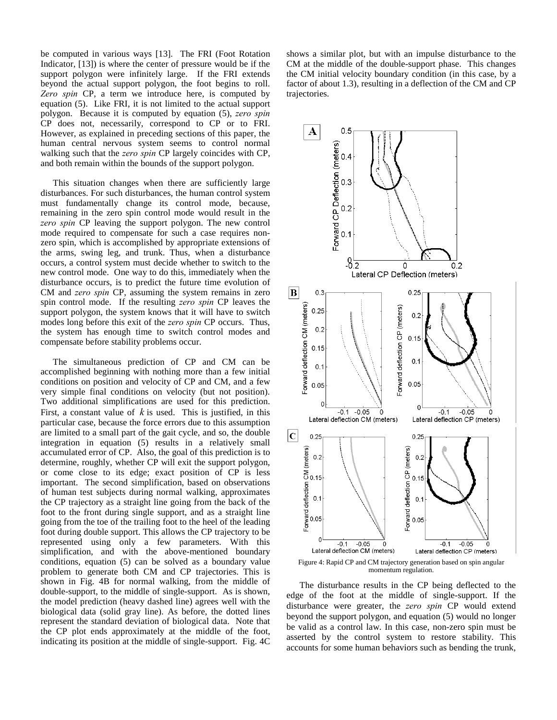be computed in various ways [13]. The FRI (Foot Rotation Indicator, [13]) is where the center of pressure would be if the support polygon were infinitely large. If the FRI extends beyond the actual support polygon, the foot begins to roll. *Zero spin* CP, a term we introduce here, is computed by equation (5). Like FRI, it is not limited to the actual support polygon. Because it is computed by equation (5), *zero spin* CP does not, necessarily, correspond to CP or to FRI. However, as explained in preceding sections of this paper, the human central nervous system seems to control normal walking such that the *zero spin* CP largely coincides with CP, and both remain within the bounds of the support polygon.

This situation changes when there are sufficiently large disturbances. For such disturbances, the human control system must fundamentally change its control mode, because, remaining in the zero spin control mode would result in the *zero spin* CP leaving the support polygon. The new control mode required to compensate for such a case requires nonzero spin, which is accomplished by appropriate extensions of the arms, swing leg, and trunk. Thus, when a disturbance occurs, a control system must decide whether to switch to the new control mode. One way to do this, immediately when the disturbance occurs, is to predict the future time evolution of CM and *zero spin* CP, assuming the system remains in zero spin control mode. If the resulting *zero spin* CP leaves the support polygon, the system knows that it will have to switch modes long before this exit of the *zero spin* CP occurs. Thus, the system has enough time to switch control modes and compensate before stability problems occur.

The simultaneous prediction of CP and CM can be accomplished beginning with nothing more than a few initial conditions on position and velocity of CP and CM, and a few very simple final conditions on velocity (but not position). Two additional simplifications are used for this prediction. First, a constant value of  $k$  is used. This is justified, in this particular case, because the force errors due to this assumption are limited to a small part of the gait cycle, and so, the double integration in equation (5) results in a relatively small accumulated error of CP. Also, the goal of this prediction is to determine, roughly, whether CP will exit the support polygon, or come close to its edge; exact position of CP is less important. The second simplification, based on observations of human test subjects during normal walking, approximates the CP trajectory as a straight line going from the back of the foot to the front during single support, and as a straight line going from the toe of the trailing foot to the heel of the leading foot during double support. This allows the CP trajectory to be represented using only a few parameters. With this simplification, and with the above-mentioned boundary conditions, equation (5) can be solved as a boundary value problem to generate both CM and CP trajectories. This is shown in Fig. 4B for normal walking, from the middle of double-support, to the middle of single-support. As is shown, the model prediction (heavy dashed line) agrees well with the biological data (solid gray line). As before, the dotted lines represent the standard deviation of biological data. Note that the CP plot ends approximately at the middle of the foot, indicating its position at the middle of single-support. Fig. 4C

shows a similar plot, but with an impulse disturbance to the CM at the middle of the double-support phase. This changes the CM initial velocity boundary condition (in this case, by a factor of about 1.3), resulting in a deflection of the CM and CP trajectories.



Figure 4: Rapid CP and CM trajectory generation based on spin angular momentum regulation.

The disturbance results in the CP being deflected to the edge of the foot at the middle of single-support. If the disturbance were greater, the *zero spin* CP would extend beyond the support polygon, and equation (5) would no longer be valid as a control law. In this case, non-zero spin must be asserted by the control system to restore stability. This accounts for some human behaviors such as bending the trunk,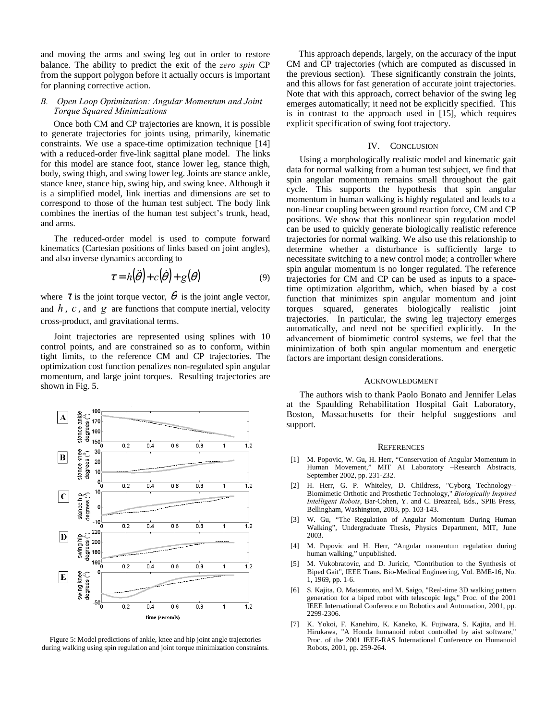and moving the arms and swing leg out in order to restore balance. The ability to predict the exit of the *zero spin* CP from the support polygon before it actually occurs is important for planning corrective action.

## *B. Open Loop Optimization: Angular Momentum and Joint Torque Squared Minimizations*

Once both CM and CP trajectories are known, it is possible to generate trajectories for joints using, primarily, kinematic constraints. We use a space-time optimization technique [14] with a reduced-order five-link sagittal plane model. The links for this model are stance foot, stance lower leg, stance thigh, body, swing thigh, and swing lower leg. Joints are stance ankle, stance knee, stance hip, swing hip, and swing knee. Although it is a simplified model, link inertias and dimensions are set to correspond to those of the human test subject. The body link combines the inertias of the human test subject's trunk, head, and arms.

The reduced-order model is used to compute forward kinematics (Cartesian positions of links based on joint angles), and also inverse dynamics according to

$$
\tau = h(\ddot{\theta}) + c(\dot{\theta}) + g(\theta) \tag{9}
$$

where  $\tau$  is the joint torque vector,  $\theta$  is the joint angle vector, and  $h$ ,  $c$ , and  $g$  are functions that compute inertial, velocity cross-product, and gravitational terms.

Joint trajectories are represented using splines with 10 control points, and are constrained so as to conform, within tight limits, to the reference CM and CP trajectories. The optimization cost function penalizes non-regulated spin angular momentum, and large joint torques. Resulting trajectories are shown in Fig. 5.



Figure 5: Model predictions of ankle, knee and hip joint angle trajectories during walking using spin regulation and joint torque minimization constraints.

This approach depends, largely, on the accuracy of the input CM and CP trajectories (which are computed as discussed in the previous section). These significantly constrain the joints, and this allows for fast generation of accurate joint trajectories. Note that with this approach, correct behavior of the swing leg emerges automatically; it need not be explicitly specified. This is in contrast to the approach used in [15], which requires explicit specification of swing foot trajectory.

#### IV. CONCLUSION

Using a morphologically realistic model and kinematic gait data for normal walking from a human test subject, we find that spin angular momentum remains small throughout the gait cycle. This supports the hypothesis that spin angular momentum in human walking is highly regulated and leads to a non-linear coupling between ground reaction force, CM and CP positions. We show that this nonlinear spin regulation model can be used to quickly generate biologically realistic reference trajectories for normal walking. We also use this relationship to determine whether a disturbance is sufficiently large to necessitate switching to a new control mode; a controller where spin angular momentum is no longer regulated. The reference trajectories for CM and CP can be used as inputs to a spacetime optimization algorithm, which, when biased by a cost function that minimizes spin angular momentum and joint torques squared, generates biologically realistic joint trajectories. In particular, the swing leg trajectory emerges automatically, and need not be specified explicitly. In the advancement of biomimetic control systems, we feel that the minimization of both spin angular momentum and energetic factors are important design considerations.

#### ACKNOWLEDGMENT

The authors wish to thank Paolo Bonato and Jennifer Lelas at the Spaulding Rehabilitation Hospital Gait Laboratory, Boston, Massachusetts for their helpful suggestions and support.

#### **REFERENCES**

- [1] M. Popovic, W. Gu, H. Herr, "Conservation of Angular Momentum in Human Movement," MIT AI Laboratory –Research Abstracts, September 2002, pp. 231-232.
- [2] H. Herr, G. P. Whiteley, D. Childress, "Cyborg Technology-- Biomimetic Orthotic and Prosthetic Technology," *Biologically Inspired Intelligent Robots*, Bar-Cohen, Y. and C. Breazeal, Eds., SPIE Press, Bellingham, Washington, 2003, pp. 103-143.
- [3] W. Gu, "The Regulation of Angular Momentum During Human Walking", Undergraduate Thesis, Physics Department, MIT, June 2003.
- [4] M. Popovic and H. Herr, "Angular momentum regulation during human walking," unpublished.
- [5] M. Vukobratovic, and D. Juricic, "Contribution to the Synthesis of Biped Gait", IEEE Trans. Bio-Medical Engineering, Vol. BME-16, No. 1, 1969, pp. 1-6.
- [6] S. Kajita, O. Matsumoto, and M. Saigo, "Real-time 3D walking pattern generation for a biped robot with telescopic legs," Proc. of the 2001 IEEE International Conference on Robotics and Automation, 2001, pp. 2299-2306.
- [7] K. Yokoi, F. Kanehiro, K. Kaneko, K. Fujiwara, S. Kajita, and H. Hirukawa, "A Honda humanoid robot controlled by aist software," Proc. of the 2001 IEEE-RAS International Conference on Humanoid Robots, 2001, pp. 259-264.